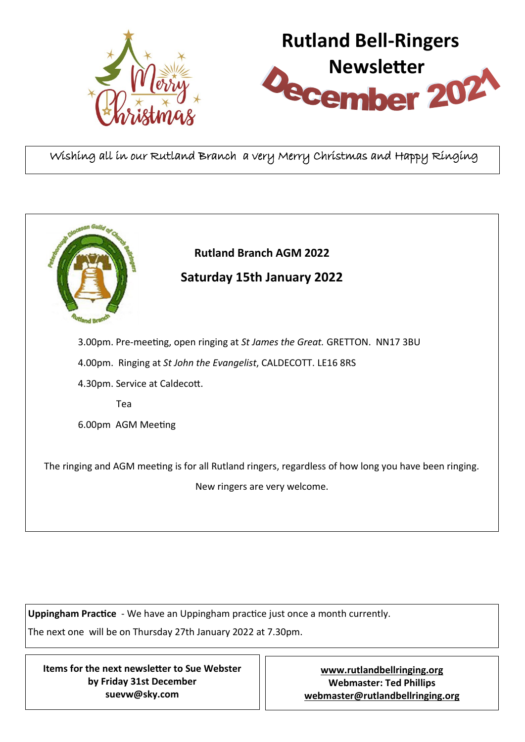



Wishing all in our Rutland Branch a very Merry Christmas and Happy Ringing

|                                                                                                                                        | <b>Rutland Branch AGM 2022</b><br><b>Saturday 15th January 2022</b> |
|----------------------------------------------------------------------------------------------------------------------------------------|---------------------------------------------------------------------|
| 3.00pm. Pre-meeting, open ringing at St James the Great. GRETTON. NN17 3BU                                                             |                                                                     |
| 4.00pm. Ringing at St John the Evangelist, CALDECOTT. LE16 8RS                                                                         |                                                                     |
| 4.30pm. Service at Caldecott.                                                                                                          |                                                                     |
| Tea                                                                                                                                    |                                                                     |
| 6.00pm AGM Meeting                                                                                                                     |                                                                     |
| The ringing and AGM meeting is for all Rutland ringers, regardless of how long you have been ringing.<br>New ringers are very welcome. |                                                                     |

**Uppingham Practice** - We have an Uppingham practice just once a month currently. The next one will be on Thursday 27th January 2022 at 7.30pm.

**Items for the next newsletter to Sue Webster by Friday 31st December suevw@sky.com**

**[www.rutlandbellringing.org](http://www.rutlandbellringing.org) Webmaster: Ted Phillips [webmaster@rutlandbellringing.org](mailto:webmaster@rutlandbellringing.org)**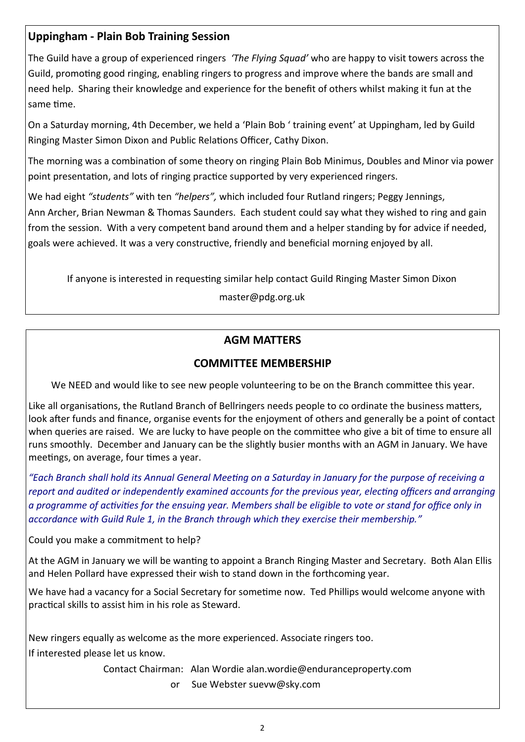# **Uppingham - Plain Bob Training Session**

The Guild have a group of experienced ringers *'The Flying Squad'* who are happy to visit towers across the Guild, promoting good ringing, enabling ringers to progress and improve where the bands are small and need help. Sharing their knowledge and experience for the benefit of others whilst making it fun at the same time.

On a Saturday morning, 4th December, we held a 'Plain Bob ' training event' at Uppingham, led by Guild Ringing Master Simon Dixon and Public Relations Officer, Cathy Dixon.

The morning was a combination of some theory on ringing Plain Bob Minimus, Doubles and Minor via power point presentation, and lots of ringing practice supported by very experienced ringers.

We had eight *"students"* with ten *"helpers",* which included four Rutland ringers; Peggy Jennings, Ann Archer, Brian Newman & Thomas Saunders. Each student could say what they wished to ring and gain from the session. With a very competent band around them and a helper standing by for advice if needed, goals were achieved. It was a very constructive, friendly and beneficial morning enjoyed by all.

If anyone is interested in requesting similar help contact Guild Ringing Master Simon Dixon

master@pdg.org.uk

# **AGM MATTERS**

## **COMMITTEE MEMBERSHIP**

We NEED and would like to see new people volunteering to be on the Branch committee this year.

Like all organisations, the Rutland Branch of Bellringers needs people to co ordinate the business matters, look after funds and finance, organise events for the enjoyment of others and generally be a point of contact when queries are raised. We are lucky to have people on the committee who give a bit of time to ensure all runs smoothly. December and January can be the slightly busier months with an AGM in January. We have meetings, on average, four times a year.

*"Each Branch shall hold its Annual General Meeting on a Saturday in January for the purpose of receiving a report and audited or independently examined accounts for the previous year, electing officers and arranging a programme of activities for the ensuing year. Members shall be eligible to vote or stand for office only in accordance with Guild Rule 1, in the Branch through which they exercise their membership."*

Could you make a commitment to help?

At the AGM in January we will be wanting to appoint a Branch Ringing Master and Secretary. Both Alan Ellis and Helen Pollard have expressed their wish to stand down in the forthcoming year.

We have had a vacancy for a Social Secretary for sometime now. Ted Phillips would welcome anyone with practical skills to assist him in his role as Steward.

New ringers equally as welcome as the more experienced. Associate ringers too. If interested please let us know.

Contact Chairman: Alan Wordie alan.wordie@enduranceproperty.com

or Sue Webster suevw@sky.com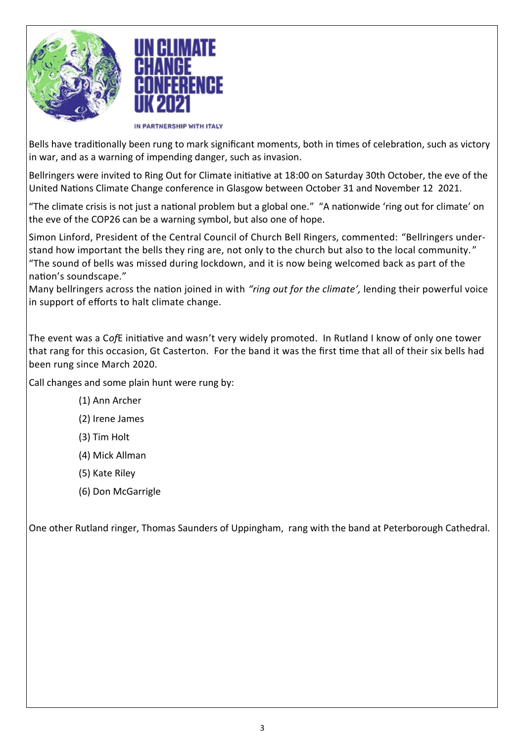



IN PARTNERSHIP WITH ITALY

Bells have traditionally been rung to mark significant moments, both in times of celebration, such as victory in war, and as a warning of impending danger, such as invasion.

Bellringers were invited to Ring Out for Climate initiative at 18:00 on Saturday 30th October, the eve of the United Nations Climate Change conference in Glasgow between October 31 and November 12 2021.

"The climate crisis is not just a national problem but a global one." "A nationwide 'ring out for climate' on the eve of the COP26 can be a warning symbol, but also one of hope.

Simon Linford, President of the Central Council of Church Bell Ringers, commented: "Bellringers understand how important the bells they ring are, not only to the church but also to the local community. " "The sound of bells was missed during lockdown, and it is now being welcomed back as part of the nation's soundscape."

Many bellringers across the nation joined in with *"ring out for the climate',* lending their powerful voice in support of efforts to halt climate change.

The event was a C*of*E initiative and wasn't very widely promoted. In Rutland I know of only one tower that rang for this occasion, Gt Casterton. For the band it was the first time that all of their six bells had been rung since March 2020.

Call changes and some plain hunt were rung by:

- (1) Ann Archer
- (2) Irene James
- (3) Tim Holt
- (4) Mick Allman
- (5) Kate Riley
- (6) Don McGarrigle

One other Rutland ringer, Thomas Saunders of Uppingham, rang with the band at Peterborough Cathedral.